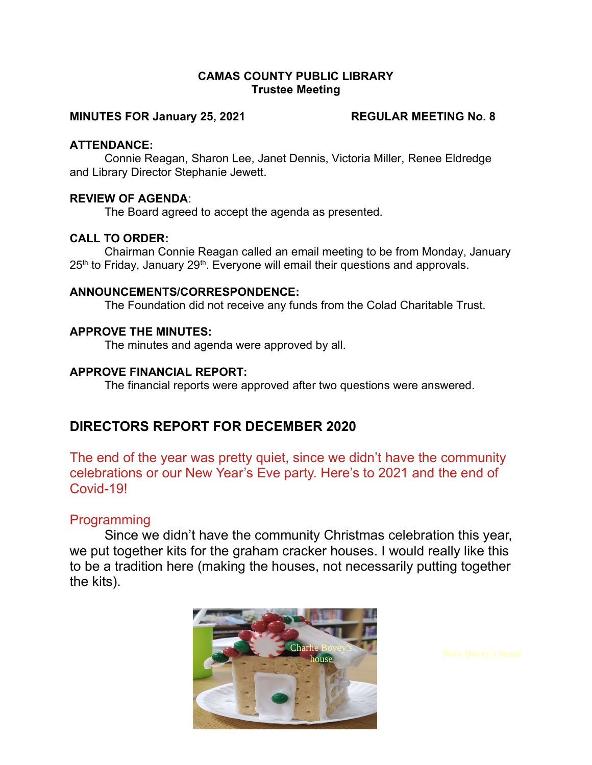#### CAMAS COUNTY PUBLIC LIBRARY Trustee Meeting

#### MINUTES FOR January 25, 2021 REGULAR MEETING No. 8

#### ATTENDANCE:

Connie Reagan, Sharon Lee, Janet Dennis, Victoria Miller, Renee Eldredge and Library Director Stephanie Jewett.

#### REVIEW OF AGENDA:

The Board agreed to accept the agenda as presented.

#### CALL TO ORDER:

Chairman Connie Reagan called an email meeting to be from Monday, January 25<sup>th</sup> to Friday, January 29<sup>th</sup>. Everyone will email their questions and approvals.

#### ANNOUNCEMENTS/CORRESPONDENCE:

The Foundation did not receive any funds from the Colad Charitable Trust.

#### APPROVE THE MINUTES:

The minutes and agenda were approved by all.

#### APPROVE FINANCIAL REPORT:

The financial reports were approved after two questions were answered.

## DIRECTORS REPORT FOR DECEMBER 2020

The end of the year was pretty quiet, since we didn't have the community celebrations or our New Year's Eve party. Here's to 2021 and the end of Covid-19!

### Programming

Since we didn't have the community Christmas celebration this year, we put together kits for the graham cracker houses. I would really like this to be a tradition here (making the houses, not necessarily putting together the kits).

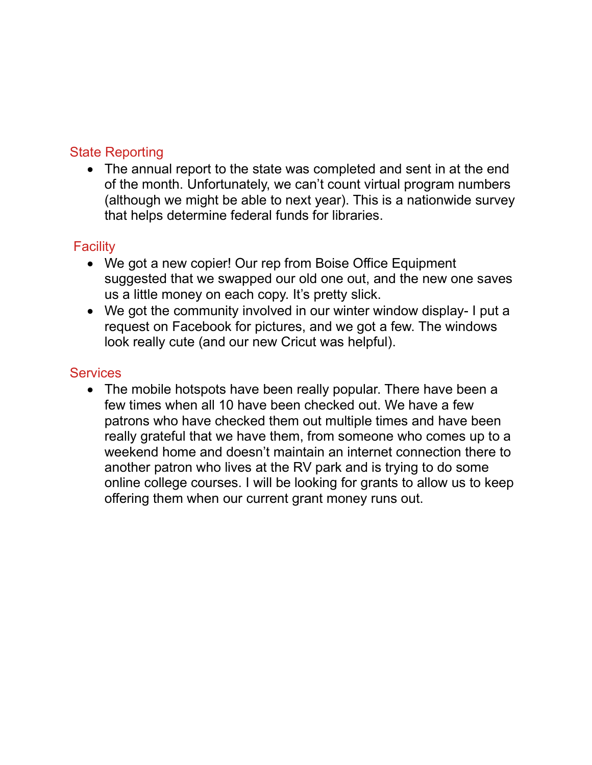# State Reporting

 The annual report to the state was completed and sent in at the end of the month. Unfortunately, we can't count virtual program numbers (although we might be able to next year). This is a nationwide survey that helps determine federal funds for libraries.

# **Facility**

- We got a new copier! Our rep from Boise Office Equipment suggested that we swapped our old one out, and the new one saves us a little money on each copy. It's pretty slick.
- We got the community involved in our winter window display- I put a request on Facebook for pictures, and we got a few. The windows look really cute (and our new Cricut was helpful).

## **Services**

• The mobile hotspots have been really popular. There have been a few times when all 10 have been checked out. We have a few patrons who have checked them out multiple times and have been really grateful that we have them, from someone who comes up to a weekend home and doesn't maintain an internet connection there to another patron who lives at the RV park and is trying to do some online college courses. I will be looking for grants to allow us to keep offering them when our current grant money runs out.